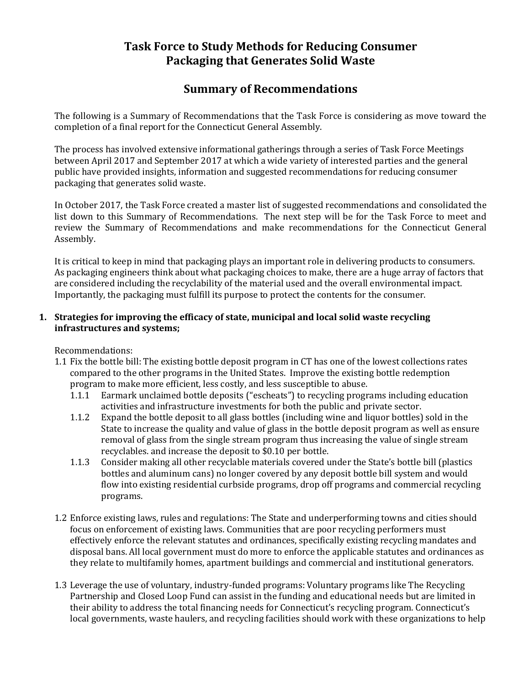# **Task Force to Study Methods for Reducing Consumer Packaging that Generates Solid Waste**

# **Summary of Recommendations**

The following is a Summary of Recommendations that the Task Force is considering as move toward the completion of a final report for the Connecticut General Assembly.

The process has involved extensive informational gatherings through a series of Task Force Meetings between April 2017 and September 2017 at which a wide variety of interested parties and the general public have provided insights, information and suggested recommendations for reducing consumer packaging that generates solid waste.

In October 2017, the Task Force created a master list of suggested recommendations and consolidated the list down to this Summary of Recommendations. The next step will be for the Task Force to meet and review the Summary of Recommendations and make recommendations for the Connecticut General Assembly.

It is critical to keep in mind that packaging plays an important role in delivering products to consumers. As packaging engineers think about what packaging choices to make, there are a huge array of factors that are considered including the recyclability of the material used and the overall environmental impact. Importantly, the packaging must fulfill its purpose to protect the contents for the consumer.

# **1. Strategies for improving the efficacy of state, municipal and local solid waste recycling infrastructures and systems;**

Recommendations:

- 1.1 Fix the bottle bill: The existing bottle deposit program in CT has one of the lowest collections rates compared to the other programs in the United States. Improve the existing bottle redemption program to make more efficient, less costly, and less susceptible to abuse.
	- 1.1.1 Earmark unclaimed bottle deposits ("escheats") to recycling programs including education activities and infrastructure investments for both the public and private sector.
	- 1.1.2 Expand the bottle deposit to all glass bottles (including wine and liquor bottles) sold in the State to increase the quality and value of glass in the bottle deposit program as well as ensure removal of glass from the single stream program thus increasing the value of single stream recyclables. and increase the deposit to \$0.10 per bottle.
	- 1.1.3 Consider making all other recyclable materials covered under the State's bottle bill (plastics bottles and aluminum cans) no longer covered by any deposit bottle bill system and would flow into existing residential curbside programs, drop off programs and commercial recycling programs.
- 1.2 Enforce existing laws, rules and regulations: The State and underperforming towns and cities should focus on enforcement of existing laws. Communities that are poor recycling performers must effectively enforce the relevant statutes and ordinances, specifically existing recycling mandates and disposal bans. All local government must do more to enforce the applicable statutes and ordinances as they relate to multifamily homes, apartment buildings and commercial and institutional generators.
- 1.3 Leverage the use of voluntary, industry-funded programs: Voluntary programs like The Recycling Partnership and Closed Loop Fund can assist in the funding and educational needs but are limited in their ability to address the total financing needs for Connecticut's recycling program. Connecticut's local governments, waste haulers, and recycling facilities should work with these organizations to help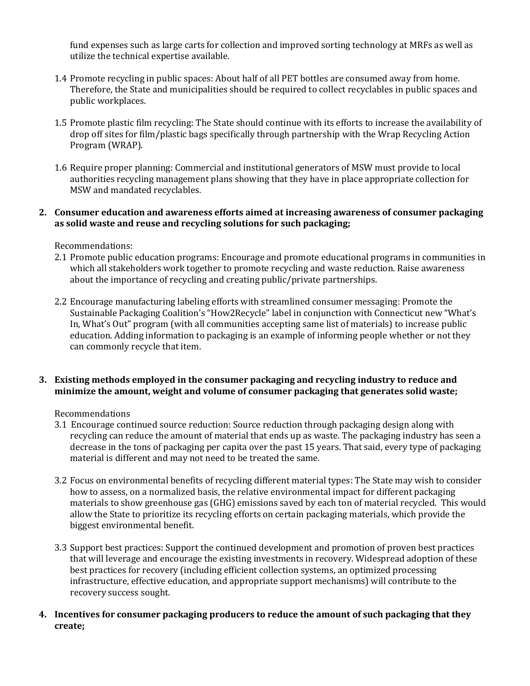fund expenses such as large carts for collection and improved sorting technology at MRFs as well as utilize the technical expertise available.

- 1.4 Promote recycling in public spaces: About half of all PET bottles are consumed away from home. Therefore, the State and municipalities should be required to collect recyclables in public spaces and public workplaces.
- 1.5 Promote plastic film recycling: The State should continue with its efforts to increase the availability of drop off sites for film/plastic bags specifically through partnership with the Wrap Recycling Action Program (WRAP).
- 1.6 Require proper planning: Commercial and institutional generators of MSW must provide to local authorities recycling management plans showing that they have in place appropriate collection for MSW and mandated recyclables.

## **2. Consumer education and awareness efforts aimed at increasing awareness of consumer packaging as solid waste and reuse and recycling solutions for such packaging;**

Recommendations:

- 2.1 Promote public education programs: Encourage and promote educational programs in communities in which all stakeholders work together to promote recycling and waste reduction. Raise awareness about the importance of recycling and creating public/private partnerships.
- 2.2 Encourage manufacturing labeling efforts with streamlined consumer messaging: Promote the Sustainable Packaging Coalition's "How2Recycle" label in conjunction with Connecticut new "What's In, What's Out" program (with all communities accepting same list of materials) to increase public education. Adding information to packaging is an example of informing people whether or not they can commonly recycle that item.

# **3. Existing methods employed in the consumer packaging and recycling industry to reduce and minimize the amount, weight and volume of consumer packaging that generates solid waste;**

Recommendations

- 3.1 Encourage continued source reduction: Source reduction through packaging design along with recycling can reduce the amount of material that ends up as waste. The packaging industry has seen a decrease in the tons of packaging per capita over the past 15 years. That said, every type of packaging material is different and may not need to be treated the same.
- 3.2 Focus on environmental benefits of recycling different material types: The State may wish to consider how to assess, on a normalized basis, the relative environmental impact for different packaging materials to show greenhouse gas (GHG) emissions saved by each ton of material recycled. This would allow the State to prioritize its recycling efforts on certain packaging materials, which provide the biggest environmental benefit.
- 3.3 Support best practices: Support the continued development and promotion of proven best practices that will leverage and encourage the existing investments in recovery. Widespread adoption of these best practices for recovery (including efficient collection systems, an optimized processing infrastructure, effective education, and appropriate support mechanisms) will contribute to the recovery success sought.
- **4. Incentives for consumer packaging producers to reduce the amount of such packaging that they create;**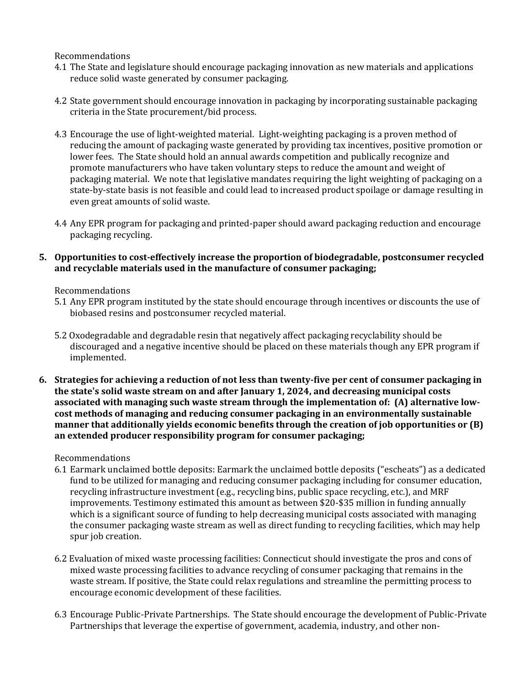#### Recommendations

- 4.1 The State and legislature should encourage packaging innovation as new materials and applications reduce solid waste generated by consumer packaging.
- 4.2 State government should encourage innovation in packaging by incorporating sustainable packaging criteria in the State procurement/bid process.
- 4.3 Encourage the use of light-weighted material. Light-weighting packaging is a proven method of reducing the amount of packaging waste generated by providing tax incentives, positive promotion or lower fees. The State should hold an annual awards competition and publically recognize and promote manufacturers who have taken voluntary steps to reduce the amount and weight of packaging material. We note that legislative mandates requiring the light weighting of packaging on a state-by-state basis is not feasible and could lead to increased product spoilage or damage resulting in even great amounts of solid waste.
- 4.4 Any EPR program for packaging and printed-paper should award packaging reduction and encourage packaging recycling.

## **5. Opportunities to cost-effectively increase the proportion of biodegradable, postconsumer recycled and recyclable materials used in the manufacture of consumer packaging;**

#### Recommendations

- 5.1 Any EPR program instituted by the state should encourage through incentives or discounts the use of biobased resins and postconsumer recycled material.
- 5.2 Oxodegradable and degradable resin that negatively affect packaging recyclability should be discouraged and a negative incentive should be placed on these materials though any EPR program if implemented.
- **6. Strategies for achieving a reduction of not less than twenty-five per cent of consumer packaging in the state's solid waste stream on and after January 1, 2024, and decreasing municipal costs associated with managing such waste stream through the implementation of: (A) alternative lowcost methods of managing and reducing consumer packaging in an environmentally sustainable manner that additionally yields economic benefits through the creation of job opportunities or (B) an extended producer responsibility program for consumer packaging;**

#### Recommendations

- 6.1 Earmark unclaimed bottle deposits: Earmark the unclaimed bottle deposits ("escheats") as a dedicated fund to be utilized for managing and reducing consumer packaging including for consumer education, recycling infrastructure investment (e.g., recycling bins, public space recycling, etc.), and MRF improvements. Testimony estimated this amount as between \$20-\$35 million in funding annually which is a significant source of funding to help decreasing municipal costs associated with managing the consumer packaging waste stream as well as direct funding to recycling facilities, which may help spur job creation.
- 6.2 Evaluation of mixed waste processing facilities: Connecticut should investigate the pros and cons of mixed waste processing facilities to advance recycling of consumer packaging that remains in the waste stream. If positive, the State could relax regulations and streamline the permitting process to encourage economic development of these facilities.
- 6.3 Encourage Public-Private Partnerships. The State should encourage the development of Public-Private Partnerships that leverage the expertise of government, academia, industry, and other non-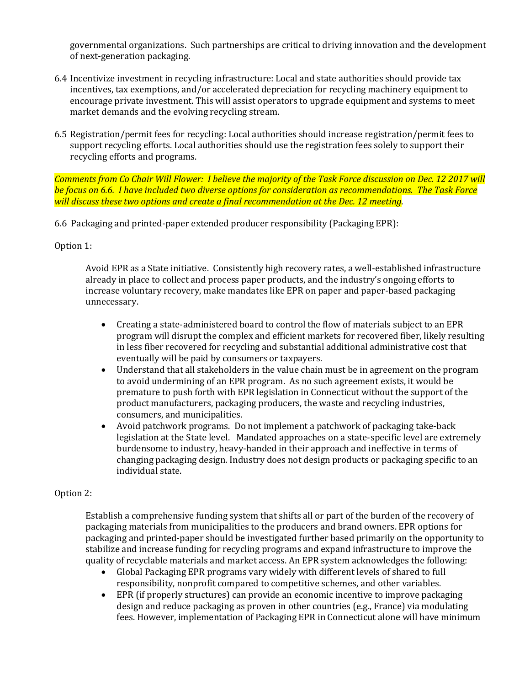governmental organizations. Such partnerships are critical to driving innovation and the development of next-generation packaging.

- 6.4 Incentivize investment in recycling infrastructure: Local and state authorities should provide tax incentives, tax exemptions, and/or accelerated depreciation for recycling machinery equipment to encourage private investment. This will assist operators to upgrade equipment and systems to meet market demands and the evolving recycling stream.
- 6.5 Registration/permit fees for recycling: Local authorities should increase registration/permit fees to support recycling efforts. Local authorities should use the registration fees solely to support their recycling efforts and programs.

*Comments from Co Chair Will Flower: I believe the majority of the Task Force discussion on Dec. 12 2017 will be focus on 6.6. I have included two diverse options for consideration as recommendations. The Task Force will discuss these two options and create a final recommendation at the Dec. 12 meeting.*

6.6 Packaging and printed-paper extended producer responsibility (Packaging EPR):

# Option 1:

Avoid EPR as a State initiative. Consistently high recovery rates, a well-established infrastructure already in place to collect and process paper products, and the industry's ongoing efforts to increase voluntary recovery, make mandates like EPR on paper and paper-based packaging unnecessary.

- Creating a state-administered board to control the flow of materials subject to an EPR program will disrupt the complex and efficient markets for recovered fiber, likely resulting in less fiber recovered for recycling and substantial additional administrative cost that eventually will be paid by consumers or taxpayers.
- Understand that all stakeholders in the value chain must be in agreement on the program to avoid undermining of an EPR program. As no such agreement exists, it would be premature to push forth with EPR legislation in Connecticut without the support of the product manufacturers, packaging producers, the waste and recycling industries, consumers, and municipalities.
- Avoid patchwork programs. Do not implement a patchwork of packaging take-back legislation at the State level. Mandated approaches on a state-specific level are extremely burdensome to industry, heavy-handed in their approach and ineffective in terms of changing packaging design. Industry does not design products or packaging specific to an individual state.

# Option 2:

Establish a comprehensive funding system that shifts all or part of the burden of the recovery of packaging materials from municipalities to the producers and brand owners. EPR options for packaging and printed-paper should be investigated further based primarily on the opportunity to stabilize and increase funding for recycling programs and expand infrastructure to improve the quality of recyclable materials and market access. An EPR system acknowledges the following:

- Global Packaging EPR programs vary widely with different levels of shared to full responsibility, nonprofit compared to competitive schemes, and other variables.
- EPR (if properly structures) can provide an economic incentive to improve packaging design and reduce packaging as proven in other countries (e.g., France) via modulating fees. However, implementation of Packaging EPR in Connecticut alone will have minimum